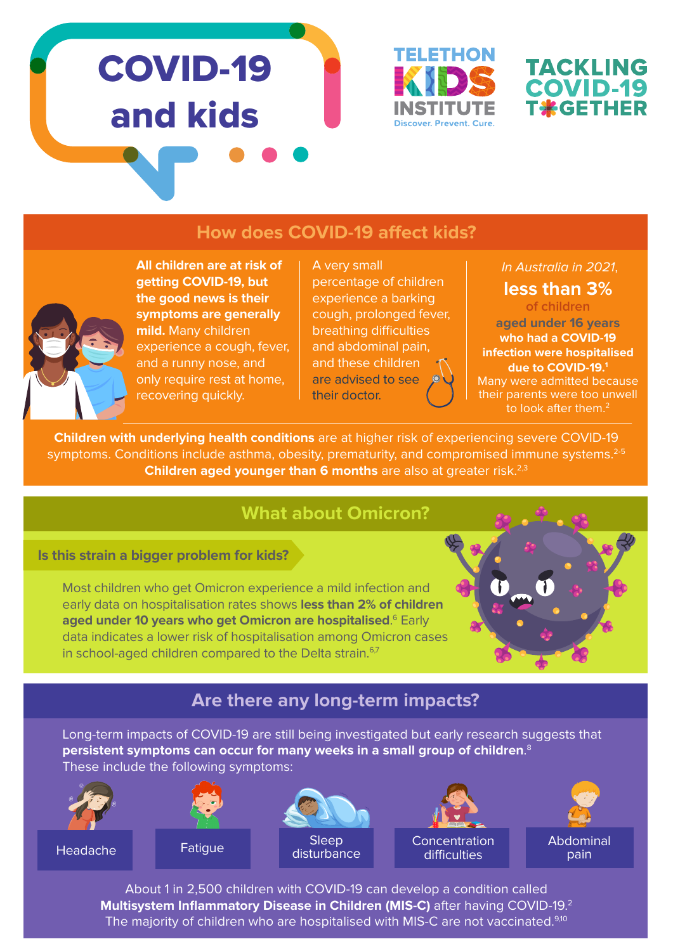# COVID-19 and kids





#### **How does COVID-19 affect kids?**



**All children are at risk of getting COVID-19, but the good news is their symptoms are generally mild.** Many children experience a cough, fever, and a runny nose, and only require rest at home, recovering quickly.

A very small percentage of children experience a barking cough, prolonged fever, breathing difficulties and abdominal pain, and these children are advised to see their doctor.

#### In Australia in 2021,

**less than 3%** 

**of children aged under 16 years who had a COVID-19 infection were hospitalised due to COVID-19.1** Many were admitted because their parents were too unwell to look after them.<sup>2</sup>

**Children with underlying health conditions** are at higher risk of experiencing severe COVID-19 symptoms. Conditions include asthma, obesity, prematurity, and compromised immune systems.<sup>2-5</sup> **Children aged younger than 6 months** are also at greater risk.<sup>2,3</sup>

#### **What about Omicron?**

#### **Is this strain a bigger problem for kids?**

Most children who get Omicron experience a mild infection and early data on hospitalisation rates shows **less than 2% of children aged under 10 years who get Omicron are hospitalised**. 6 Early data indicates a lower risk of hospitalisation among Omicron cases in school-aged children compared to the Delta strain.<sup>6,7</sup>



# **Are there any long-term impacts?**

Long-term impacts of COVID-19 are still being investigated but early research suggests that **persistent symptoms can occur for many weeks in a small group of children**. 8 These include the following symptoms:



About 1 in 2,500 children with COVID-19 can develop a condition called **Multisystem Inflammatory Disease in Children (MIS-C)** after having COVID-19.2 The majority of children who are hospitalised with MIS-C are not vaccinated.<sup>9,10</sup>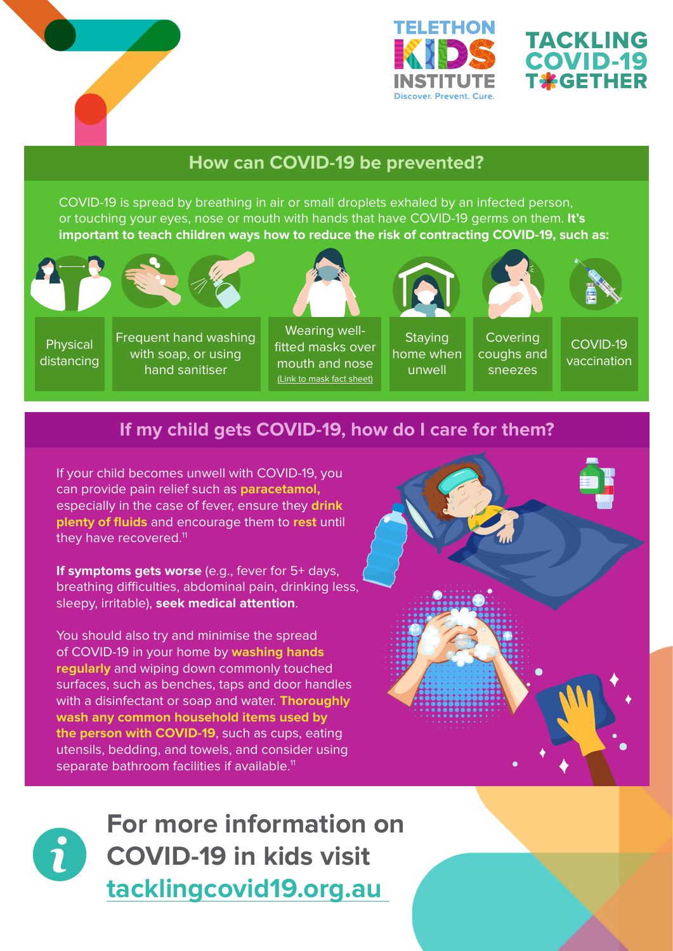



# **TACKLING COVID-19 T\*GETHER**

### **How can COVID-19 be prevented?**

COVID-19 is spread by breathing in air or small droplets exhaled by an infected person, or touching your eyes, nose or mouth with hands that have COVID-19 germs on them. **It's important to teach children ways how to reduce the risk of contracting COVID-19, such as:**





Physical distancing

Frequent hand washing with soap, or using hand sanitiser



Wearing wellfitted masks over mouth and nose [\(Link to mask fact sheet\)](https://www.telethonkids.org.au/globalassets/media/images/pagessections/topic-pages/covid-19/resources/covid-fact-sheet-masks2.pdf)



coughs and **Staying** home when unwell



Covering

sneezes



COVID-19 vaccination

# **If my child gets COVID-19, how do I care for them?**

If your child becomes unwell with COVID-19, you can provide pain relief such as **paracetamol,** especially in the case of fever, ensure they **drink plenty of fluids** and encourage them to **rest** until they have recovered.<sup>11</sup>

**If symptoms gets worse** (e.g., fever for 5+ days, breathing difficulties, abdominal pain, drinking less, sleepy, irritable), **seek medical attention**.

You should also try and minimise the spread of COVID-19 in your home by **washing hands regularly** and wiping down commonly touched surfaces, such as benches, taps and door handles with a disinfectant or soap and water. **Thoroughly wash any common household items used by the person with COVID-19**, such as cups, eating utensils, bedding, and towels, and consider using separate bathroom facilities if available.<sup>11</sup>





**For more information on COVID-19 in kids visit tacklingcovid19.org.au**